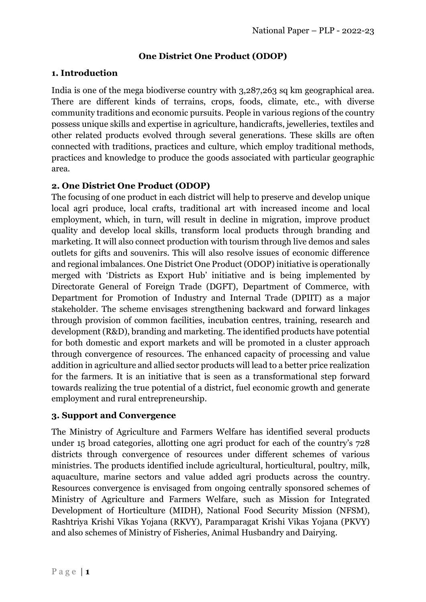# **One District One Product (ODOP)**

#### **1. Introduction**

India is one of the mega biodiverse country with 3,287,263 sq km geographical area. There are different kinds of terrains, crops, foods, climate, etc., with diverse community traditions and economic pursuits. People in various regions of the country possess unique skills and expertise in agriculture, handicrafts, jewelleries, textiles and other related products evolved through several generations. These skills are often connected with traditions, practices and culture, which employ traditional methods, practices and knowledge to produce the goods associated with particular geographic area.

## **2. One District One Product (ODOP)**

The focusing of one product in each district will help to preserve and develop unique local agri produce, local crafts, traditional art with increased income and local employment, which, in turn, will result in decline in migration, improve product quality and develop local skills, transform local products through branding and marketing. It will also connect production with tourism through live demos and sales outlets for gifts and souvenirs. This will also resolve issues of economic difference and regional imbalances. One District One Product (ODOP) initiative is operationally merged with 'Districts as Export Hub' initiative and is being implemented by Directorate General of Foreign Trade (DGFT), Department of Commerce, with Department for Promotion of Industry and Internal Trade (DPIIT) as a major stakeholder. The scheme envisages strengthening backward and forward linkages through provision of common facilities, incubation centres, training, research and development (R&D), branding and marketing. The identified products have potential for both domestic and export markets and will be promoted in a cluster approach through convergence of resources. The enhanced capacity of processing and value addition in agriculture and allied sector products will lead to a better price realization for the farmers. It is an initiative that is seen as a transformational step forward towards realizing the true potential of a district, fuel economic growth and generate employment and rural entrepreneurship.

#### **3. Support and Convergence**

The Ministry of Agriculture and Farmers Welfare has identified several products under 15 broad categories, allotting one agri product for each of the country's 728 districts through convergence of resources under different schemes of various ministries. The products identified include agricultural, horticultural, poultry, milk, aquaculture, marine sectors and value added agri products across the country. Resources convergence is envisaged from ongoing centrally sponsored schemes of Ministry of Agriculture and Farmers Welfare, such as Mission for Integrated Development of Horticulture (MIDH), National Food Security Mission (NFSM), Rashtriya Krishi Vikas Yojana (RKVY), Paramparagat Krishi Vikas Yojana (PKVY) and also schemes of Ministry of Fisheries, Animal Husbandry and Dairying.